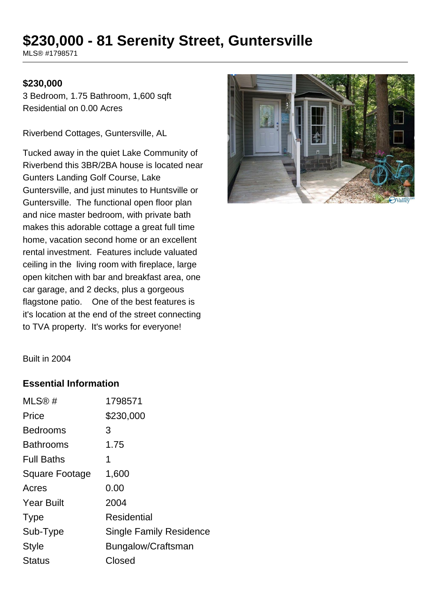# **\$230,000 - 81 Serenity Street, Guntersville**

MLS® #1798571

#### **\$230,000**

3 Bedroom, 1.75 Bathroom, 1,600 sqft Residential on 0.00 Acres

Riverbend Cottages, Guntersville, AL

Tucked away in the quiet Lake Community of Riverbend this 3BR/2BA house is located near Gunters Landing Golf Course, Lake Guntersville, and just minutes to Huntsville or Guntersville. The functional open floor plan and nice master bedroom, with private bath makes this adorable cottage a great full time home, vacation second home or an excellent rental investment. Features include valuated ceiling in the living room with fireplace, large open kitchen with bar and breakfast area, one car garage, and 2 decks, plus a gorgeous flagstone patio. One of the best features is it's location at the end of the street connecting to TVA property. It's works for everyone!



Built in 2004

#### **Essential Information**

| 1798571                        |
|--------------------------------|
| \$230,000                      |
| 3                              |
| 1.75                           |
| 1                              |
| 1,600                          |
| 0.00                           |
| 2004                           |
| Residential                    |
| <b>Single Family Residence</b> |
| Bungalow/Craftsman             |
| Closed                         |
|                                |